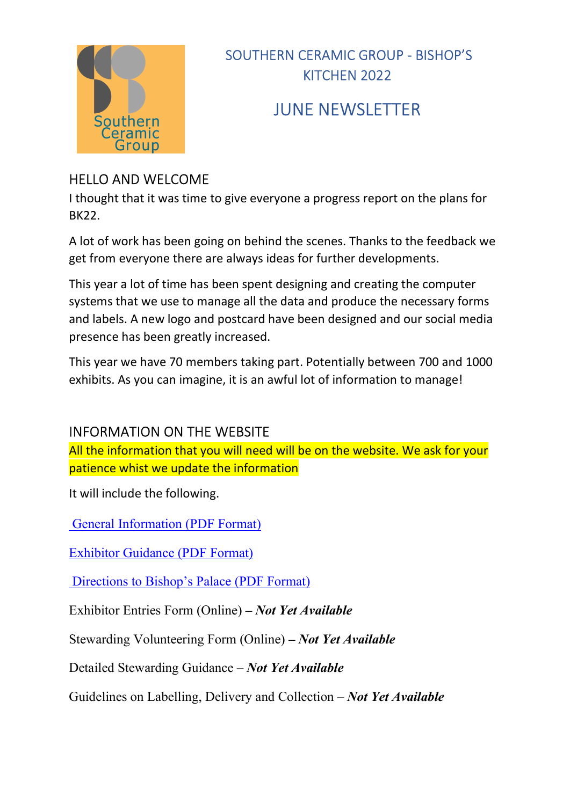

# JUNE NEWSLETTER

### HELLO AND WELCOME

I thought that it was time to give everyone a progress report on the plans for BK22.

A lot of work has been going on behind the scenes. Thanks to the feedback we get from everyone there are always ideas for further developments.

This year a lot of time has been spent designing and creating the computer systems that we use to manage all the data and produce the necessary forms and labels. A new logo and postcard have been designed and our social media presence has been greatly increased.

This year we have 70 members taking part. Potentially between 700 and 1000 exhibits. As you can imagine, it is an awful lot of information to manage!

### INFORMATION ON THE WEBSITE

All the information that you will need will be on the website. We ask for your patience whist we update the information

It will include the following.

General Information (PDF Format)

Exhibitor Guidance (PDF Format)

Directions to Bishop's Palace (PDF Format)

Exhibitor Entries Form (Online) – Not Yet Available

Stewarding Volunteering Form (Online) – Not Yet Available

Detailed Stewarding Guidance – Not Yet Available

Guidelines on Labelling, Delivery and Collection – Not Yet Available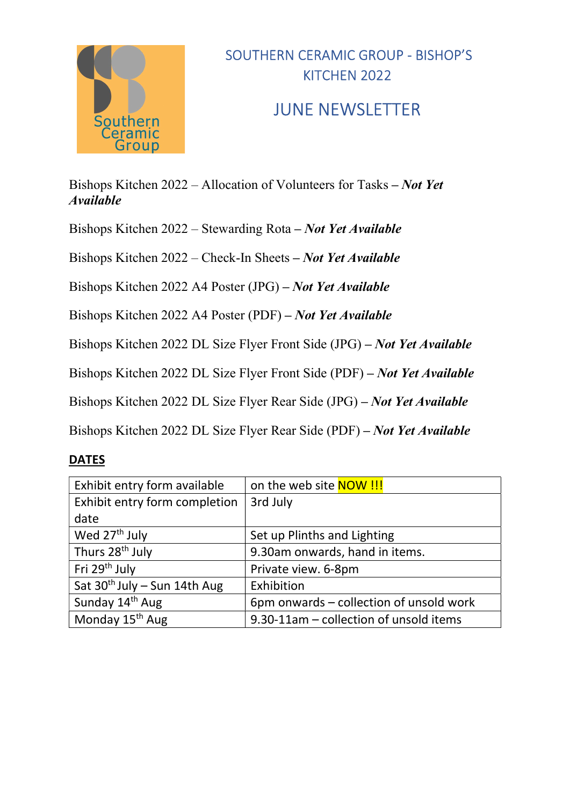

### JUNE NEWSLETTER

Bishops Kitchen 2022 – Allocation of Volunteers for Tasks – Not Yet Available

Bishops Kitchen 2022 – Stewarding Rota – Not Yet Available

Bishops Kitchen 2022 – Check-In Sheets – Not Yet Available

Bishops Kitchen 2022 A4 Poster (JPG) – Not Yet Available

Bishops Kitchen 2022 A4 Poster (PDF) – Not Yet Available

Bishops Kitchen 2022 DL Size Flyer Front Side (JPG) – Not Yet Available

Bishops Kitchen 2022 DL Size Flyer Front Side (PDF) – Not Yet Available

Bishops Kitchen 2022 DL Size Flyer Rear Side (JPG) – Not Yet Available

Bishops Kitchen 2022 DL Size Flyer Rear Side (PDF) – Not Yet Available

#### DATES

| Exhibit entry form available             | on the web site <b>NOW!!!</b>           |
|------------------------------------------|-----------------------------------------|
| Exhibit entry form completion            | 3rd July                                |
| date                                     |                                         |
| Wed 27 <sup>th</sup> July                | Set up Plinths and Lighting             |
| Thurs 28 <sup>th</sup> July              | 9.30am onwards, hand in items.          |
| Fri 29 <sup>th</sup> July                | Private view. 6-8pm                     |
| Sat 30 <sup>th</sup> July - Sun 14th Aug | Exhibition                              |
| Sunday 14 <sup>th</sup> Aug              | 6pm onwards – collection of unsold work |
| Monday 15 <sup>th</sup> Aug              | 9.30-11am - collection of unsold items  |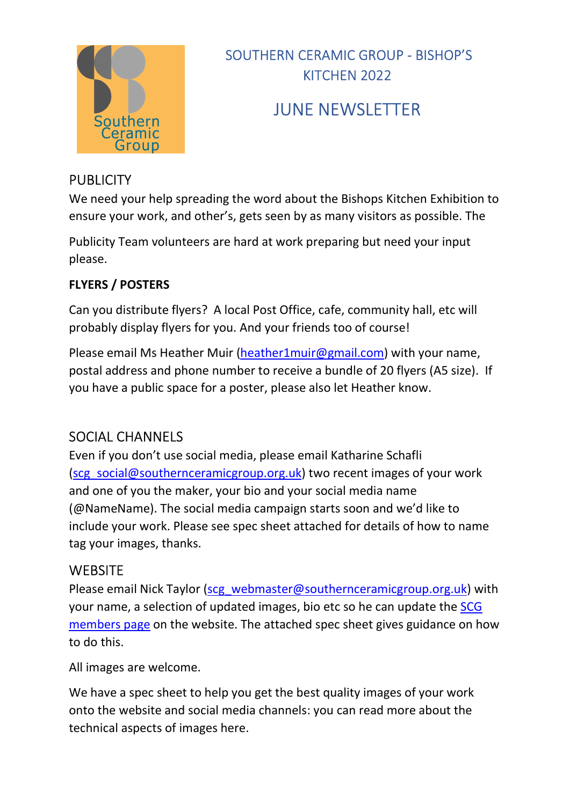

# JUNE NEWSLETTER

### **PUBLICITY**

We need your help spreading the word about the Bishops Kitchen Exhibition to ensure your work, and other's, gets seen by as many visitors as possible. The

Publicity Team volunteers are hard at work preparing but need your input please.

#### FLYERS / POSTERS

Can you distribute flyers? A local Post Office, cafe, community hall, etc will probably display flyers for you. And your friends too of course!

Please email Ms Heather Muir (heather1muir@gmail.com) with your name, postal address and phone number to receive a bundle of 20 flyers (A5 size). If you have a public space for a poster, please also let Heather know.

### SOCIAL CHANNELS

Even if you don't use social media, please email Katharine Schafli (scg\_social@southernceramicgroup.org.uk) two recent images of your work and one of you the maker, your bio and your social media name (@NameName). The social media campaign starts soon and we'd like to include your work. Please see spec sheet attached for details of how to name tag your images, thanks.

#### **WEBSITE**

Please email Nick Taylor (scg\_webmaster@southernceramicgroup.org.uk) with your name, a selection of updated images, bio etc so he can update the SCG members page on the website. The attached spec sheet gives guidance on how to do this.

All images are welcome.

We have a spec sheet to help you get the best quality images of your work onto the website and social media channels: you can read more about the technical aspects of images here.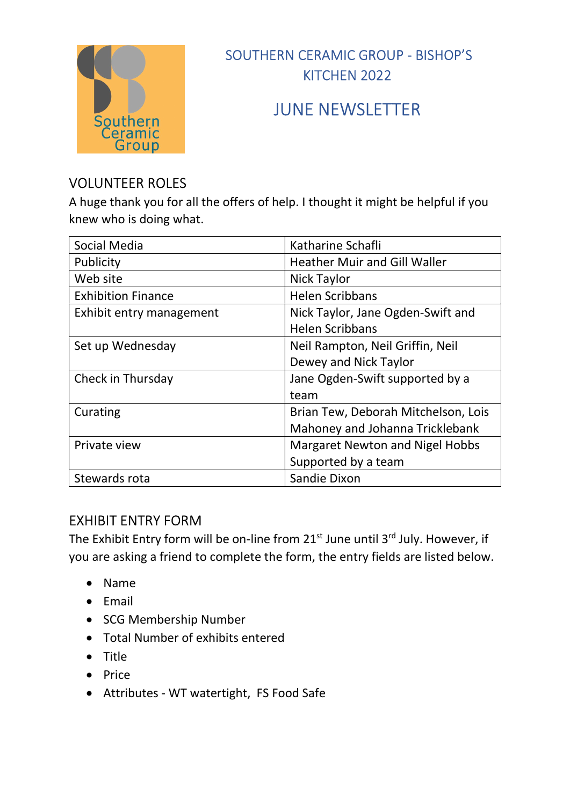

## JUNE NEWSLETTER

### VOLUNTEER ROLES

A huge thank you for all the offers of help. I thought it might be helpful if you knew who is doing what.

| Social Media              | Katharine Schafli                      |
|---------------------------|----------------------------------------|
| Publicity                 | <b>Heather Muir and Gill Waller</b>    |
| Web site                  | Nick Taylor                            |
| <b>Exhibition Finance</b> | <b>Helen Scribbans</b>                 |
| Exhibit entry management  | Nick Taylor, Jane Ogden-Swift and      |
|                           | <b>Helen Scribbans</b>                 |
| Set up Wednesday          | Neil Rampton, Neil Griffin, Neil       |
|                           | Dewey and Nick Taylor                  |
| Check in Thursday         | Jane Ogden-Swift supported by a        |
|                           | team                                   |
| Curating                  | Brian Tew, Deborah Mitchelson, Lois    |
|                           | Mahoney and Johanna Tricklebank        |
| Private view              | <b>Margaret Newton and Nigel Hobbs</b> |
|                           | Supported by a team                    |
| Stewards rota             | Sandie Dixon                           |

#### EXHIBIT ENTRY FORM

The Exhibit Entry form will be on-line from  $21^{st}$  June until  $3^{rd}$  July. However, if you are asking a friend to complete the form, the entry fields are listed below.

- Name
- Email
- SCG Membership Number
- Total Number of exhibits entered
- Title
- $\bullet$  Price
- Attributes WT watertight, FS Food Safe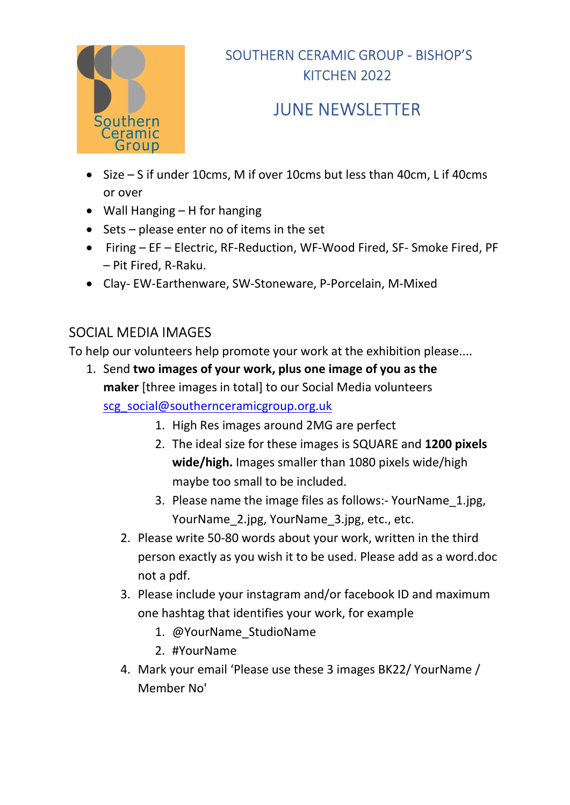

# JUNE NEWSLETTER

- Size S if under 10cms, M if over 10cms but less than 40cm, L if 40cms or over
- Wall Hanging H for hanging
- $\bullet$  Sets please enter no of items in the set
- Firing EF Electric, RF-Reduction, WF-Wood Fired, SF- Smoke Fired, PF – Pit Fired, R-Raku.
- Clay- EW-Earthenware, SW-Stoneware, P-Porcelain, M-Mixed

### SOCIAL MEDIA IMAGES

To help our volunteers help promote your work at the exhibition please....

- 1. Send two images of your work, plus one image of you as the maker [three images in total] to our Social Media volunteers scg\_social@southernceramicgroup.org.uk
	- 1. High Res images around 2MG are perfect
	- 2. The ideal size for these images is SQUARE and 1200 pixels wide/high. Images smaller than 1080 pixels wide/high maybe too small to be included.
	- 3. Please name the image files as follows:- YourName\_1.jpg, YourName 2.jpg, YourName 3.jpg, etc., etc.
	- 2. Please write 50-80 words about your work, written in the third person exactly as you wish it to be used. Please add as a word.doc not a pdf.
	- 3. Please include your instagram and/or facebook ID and maximum one hashtag that identifies your work, for example
		- 1. @YourName\_StudioName
		- 2. #YourName
	- 4. Mark your email 'Please use these 3 images BK22/ YourName / Member No'